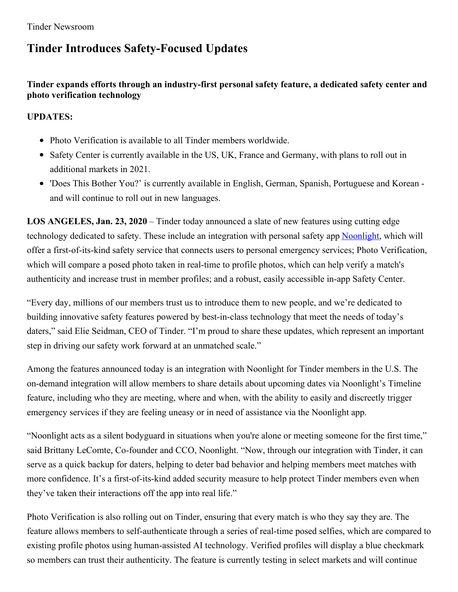# **Tinder Introduces Safety-Focused Updates**

## **Tinder expands efforts through an industry-first personal safety feature, a dedicated safety center and photo verification technology**

## **UPDATES:**

- Photo Verification is available to all Tinder members worldwide.
- Safety Center is currently available in the US, UK, France and Germany, with plans to roll out in additional markets in 2021.
- 'Does This Bother You?' is currently available in English, German, Spanish, Portuguese and Korean and will continue to roll out in new languages.

**LOS ANGELES, Jan. 23, 2020** – Tinder today announced a slate of new features using cutting edge technology dedicated to safety. These include an integration with personal safety app [Noonlight](https://www.noonlight.com/), which will offer a first-of-its-kind safety service that connects users to personal emergency services; Photo Verification, which will compare a posed photo taken in real-time to profile photos, which can help verify a match's authenticity and increase trust in member profiles; and a robust, easily accessible in-app Safety Center.

"Every day, millions of our members trust us to introduce them to new people, and we're dedicated to building innovative safety features powered by best-in-class technology that meet the needs of today's daters," said Elie Seidman, CEO of Tinder. "I'm proud to share these updates, which represent an important step in driving our safety work forward at an unmatched scale."

Among the features announced today is an integration with Noonlight for Tinder members in the U.S. The on-demand integration will allow members to share details about upcoming dates via Noonlight's Timeline feature, including who they are meeting, where and when, with the ability to easily and discreetly trigger emergency services if they are feeling uneasy or in need of assistance via the Noonlight app.

"Noonlight acts as a silent bodyguard in situations when you're alone or meeting someone for the first time," said Brittany LeComte, Co-founder and CCO, Noonlight. "Now, through our integration with Tinder, it can serve as a quick backup for daters, helping to deter bad behavior and helping members meet matches with more confidence. It's a first-of-its-kind added security measure to help protect Tinder members even when they've taken their interactions off the app into real life."

Photo Verification is also rolling out on Tinder, ensuring that every match is who they say they are. The feature allows members to self-authenticate through a series of real-time posed selfies, which are compared to existing profile photos using human-assisted AI technology. Verified profiles will display a blue checkmark so members can trust their authenticity. The feature is currently testing in select markets and will continue